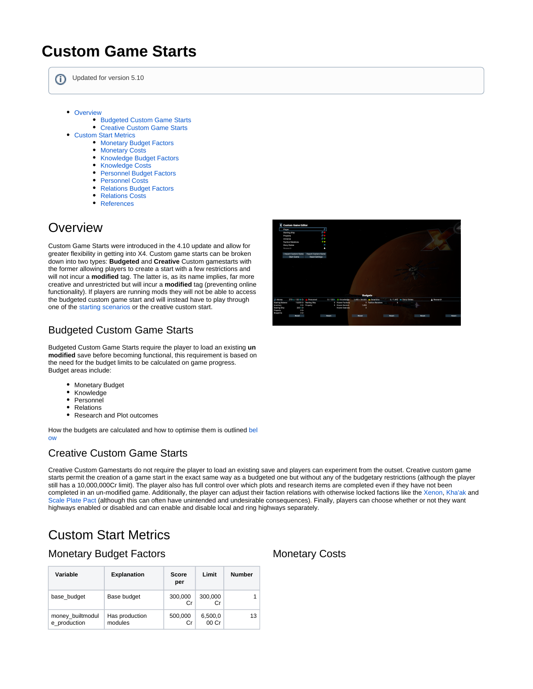# **Custom Game Starts**

⊕ Updated for version 5.10

- [Overview](#page-0-0)
	- [Budgeted Custom Game Starts](#page-0-1)
	- [Creative Custom Game Starts](#page-0-2)
- [Custom Start Metrics](#page-0-3)
	- **[Monetary Budget Factors](#page-0-4)**
	- **[Monetary Costs](#page-0-4)**
	- [Knowledge Budget Factors](#page-1-0)
	- [Knowledge Costs](#page-1-0)
	- **[Personnel Budget Factors](#page-1-1)**
	- [Personnel Costs](#page-1-1)
	- [Relations Budget Factors](#page-2-0)
	- [Relations Costs](#page-2-0)
	- [References](#page-3-0)

## <span id="page-0-0"></span>**Overview**

Custom Game Starts were introduced in the 4.10 update and allow for greater flexibility in getting into X4. Custom game starts can be broken down into two types: **Budgeted** and **Creative** Custom gamestarts with the former allowing players to create a start with a few restrictions and will not incur a **modified** tag. The latter is, as its name implies, far more creative and unrestricted but will incur a **modified** tag (preventing online functionality). If players are running mods they will not be able to access the budgeted custom game start and will instead have to play through one of the [starting scenarios](https://www.egosoft.com:8444/confluence/display/X4WIKI/Starting+Scenarios) or the creative custom start.

### <span id="page-0-1"></span>Budgeted Custom Game Starts

Budgeted Custom Game Starts require the player to load an existing **un modified** save before becoming functional, this requirement is based on the need for the budget limits to be calculated on game progress. Budget areas include:

- Monetary Budget
- Knowledge
- Personnel
- Relations
- Research and Plot outcomes

How the budgets are calculated and how to optimise them is outlined [bel](https://www.egosoft.com:8444/confluence/display/X4WIKI/Custom+Game+Starts#CustomGameStarts-CustomStartMetrics) [ow](https://www.egosoft.com:8444/confluence/display/X4WIKI/Custom+Game+Starts#CustomGameStarts-CustomStartMetrics)

### <span id="page-0-2"></span>Creative Custom Game Starts

Creative Custom Gamestarts do not require the player to load an existing save and players can experiment from the outset. Creative custom game starts permit the creation of a game start in the exact same way as a budgeted one but without any of the budgetary restrictions (although the player still has a 10,000,000Cr limit). The player also has full control over which plots and research items are completed even if they have not been completed in an un-modified game. Additionally, the player can adjust their faction relations with otherwise locked factions like the [Xenon,](https://www.egosoft.com:8444/confluence/display/X4WIKI/Xenon) [Kha'ak](https://www.egosoft.com:8444/confluence/display/X4WIKI/Kha%27ak) and [Scale Plate Pact](https://www.egosoft.com:8444/confluence/display/X4WIKI/Scale+Plate+Pact) (although this can often have unintended and undesirable consequences). Finally, players can choose whether or not they want highways enabled or disabled and can enable and disable local and ring highways separately.

## <span id="page-0-3"></span>Custom Start Metrics

#### <span id="page-0-4"></span>Monetary Budget Factors

| Variable                         | <b>Explanation</b>        | <b>Score</b><br>per | Limit            | <b>Number</b> |
|----------------------------------|---------------------------|---------------------|------------------|---------------|
| base budget                      | Base budget               | 300,000<br>Сr       | 300,000<br>Сr    |               |
| money_builtmodul<br>e production | Has production<br>modules | 500,000<br>Cr       | 6,500,0<br>00 Cr | 13            |



#### Monetary Costs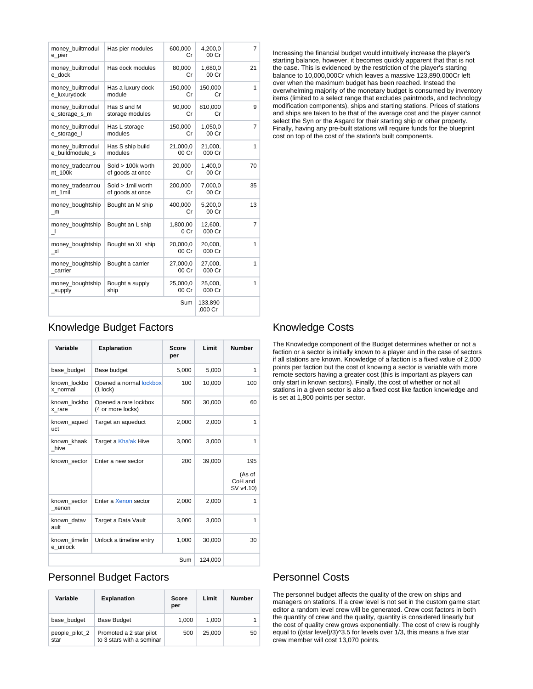| money_builtmodul<br>e_pier          | Has pier modules                        | 600,000<br>Сr     | 4.200.0<br>00 Cr   | $\overline{7}$ |
|-------------------------------------|-----------------------------------------|-------------------|--------------------|----------------|
| money_builtmodul<br>e dock          | Has dock modules                        | 80,000<br>Сr      | 1,680,0<br>00 Cr   | 21             |
| money builtmodul<br>e luxurydock    | Has a luxury dock<br>module             | 150,000<br>Сr     | 150,000<br>Сr      | 1              |
| money builtmodul<br>e_storage_s_m   | Has S and M<br>storage modules          | 90,000<br>Сr      | 810,000<br>Сr      | 9              |
| money_builtmodul<br>e_storage_l     | Has L storage<br>modules                | 150,000<br>Сr     | 1.050.0<br>00 Cr   | 7              |
| money_builtmodul<br>e_buildmodule_s | Has S ship build<br>modules             | 21,000,0<br>00 Cr | 21,000,<br>000 Cr  | 1              |
| money_tradeamou<br>nt 100k          | $Sold > 100k$ worth<br>of goods at once | 20,000<br>Сr      | 1,400,0<br>00 Cr   | 70             |
| money_tradeamou<br>nt 1mil          | Sold > 1mil worth<br>of goods at once   | 200,000<br>Сr     | 7,000,0<br>00 Cr   | 35             |
| money_boughtship<br>$\_m$           | Bought an M ship                        | 400,000<br>Сr     | 5,200,0<br>00 Cr   | 13             |
| money_boughtship<br>┚               | Bought an L ship                        | 1,800,00<br>0 Cr  | 12,600,<br>000 Cr  | 7              |
| money_boughtship<br>xl              | Bought an XL ship                       | 20,000,0<br>00 Cr | 20,000,<br>000 Cr  | 1              |
| money_boughtship<br>carrier         | Bought a carrier                        | 27,000,0<br>00 Cr | 27,000,<br>000 Cr  | 1              |
| money_boughtship<br>_supply         | Bought a supply<br>ship                 | 25,000,0<br>00 Cr | 25,000,<br>000 Cr  | 1              |
|                                     |                                         | Sum               | 133,890<br>.000 Cr |                |

Increasing the financial budget would intuitively increase the player's starting balance, however, it becomes quickly apparent that that is not the case. This is evidenced by the restriction of the player's starting balance to 10,000,000Cr which leaves a massive 123,890,000Cr left over when the maximum budget has been reached. Instead the overwhelming majority of the monetary budget is consumed by inventory items (limited to a select range that excludes paintmods, and technology modification components), ships and starting stations. Prices of stations and ships are taken to be that of the average cost and the player cannot select the Syn or the Asgard for their starting ship or other property. Finally, having any pre-built stations will require funds for the blueprint cost on top of the cost of the station's built components.

### <span id="page-1-0"></span>Knowledge Budget Factors

| Variable                  | <b>Explanation</b>                         | <b>Score</b><br>per | Limit   | <b>Number</b>                         |
|---------------------------|--------------------------------------------|---------------------|---------|---------------------------------------|
| base budget               | Base budget                                | 5,000               | 5,000   | 1                                     |
| known lockbo<br>x_normal  | Opened a normal lockbox<br>$(1$ lock)      | 100                 | 10,000  | 100                                   |
| known lockbo<br>x rare    | Opened a rare lockbox<br>(4 or more locks) | 500                 | 30,000  | 60                                    |
| known aqued<br>uct        | Target an aqueduct                         | 2,000               | 2,000   | 1                                     |
| known_khaak<br>hive       | Target a Kha'ak Hive                       | 3,000               | 3,000   | 1                                     |
| known sector              | Enter a new sector                         | 200                 | 39,000  | 195<br>(As of<br>CoH and<br>SV v4.10) |
| known sector<br>xenon     | Enter a Xenon sector                       | 2,000               | 2,000   | 1                                     |
| known datav<br>ault       | Target a Data Vault                        | 3,000               | 3,000   | 1                                     |
| known timelin<br>e unlock | Unlock a timeline entry                    | 1,000               | 30.000  | 30                                    |
| Sum                       |                                            |                     | 124,000 |                                       |

## <span id="page-1-1"></span>Personnel Budget Factors

| Variable               | <b>Explanation</b>                                   | Score<br>per | Limit  | <b>Number</b> |
|------------------------|------------------------------------------------------|--------------|--------|---------------|
| base budget            | <b>Base Budget</b>                                   | 1,000        | 1.000  |               |
| people_pilot_2<br>star | Promoted a 2 star pilot<br>to 3 stars with a seminar | 500          | 25.000 | 50            |

#### Knowledge Costs

The Knowledge component of the Budget determines whether or not a faction or a sector is initially known to a player and in the case of sectors if all stations are known. Knowledge of a faction is a fixed value of 2,000 points per faction but the cost of knowing a sector is variable with more remote sectors having a greater cost (this is important as players can only start in known sectors). Finally, the cost of whether or not all stations in a given sector is also a fixed cost like faction knowledge and is set at 1,800 points per sector.

#### Personnel Costs

The personnel budget affects the quality of the crew on ships and managers on stations. If a crew level is not set in the custom game start editor a random level crew will be generated. Crew cost factors in both the quantity of crew and the quality, quantity is considered linearly but the cost of quality crew grows exponentially. The cost of crew is roughly equal to ((star level)/3)^3.5 for levels over 1/3, this means a five star crew member will cost 13,070 points.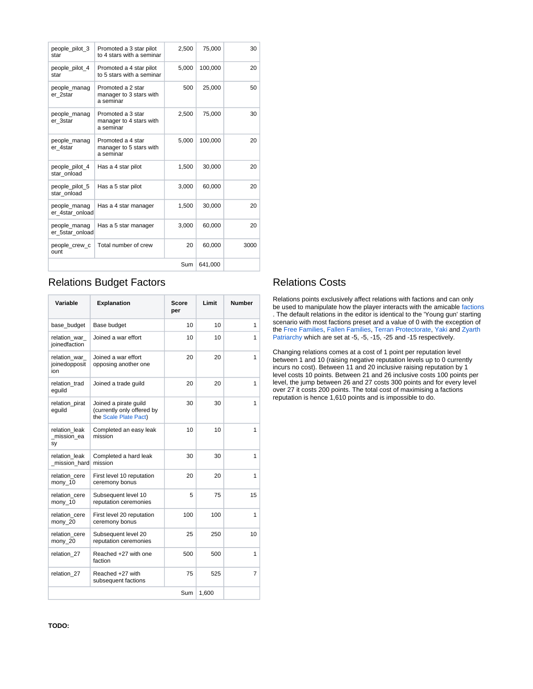| people pilot 3<br>star          | Promoted a 3 star pilot<br>to 4 stars with a seminar      | 2,500 | 75,000  | 30   |
|---------------------------------|-----------------------------------------------------------|-------|---------|------|
| people_pilot_4<br>star          | Promoted a 4 star pilot<br>to 5 stars with a seminar      | 5,000 | 100,000 | 20   |
| people_manag<br>er 2star        | Promoted a 2 star<br>manager to 3 stars with<br>a seminar | 500   | 25,000  | 50   |
| people_manag<br>er 3star        | Promoted a 3 star<br>manager to 4 stars with<br>a seminar | 2,500 | 75,000  | 30   |
| people_manag<br>er 4star        | Promoted a 4 star<br>manager to 5 stars with<br>a seminar | 5.000 | 100.000 | 20   |
| people_pilot_4<br>star onload   | Has a 4 star pilot                                        | 1,500 | 30,000  | 20   |
| people pilot 5<br>star onload   | Has a 5 star pilot                                        | 3,000 | 60,000  | 20   |
| people manag<br>er 4star onload | Has a 4 star manager                                      | 1,500 | 30,000  | 20   |
| people_manag<br>er 5star onload | Has a 5 star manager                                      | 3,000 | 60,000  | 20   |
| people_crew_c<br>ount           | Total number of crew                                      | 20    | 60,000  | 3000 |
| Sum                             |                                                           |       | 641,000 |      |

## <span id="page-2-0"></span>Relations Budget Factors

| Variable                              | <b>Explanation</b>                                                           | Score<br>per    | Limit | <b>Number</b> |
|---------------------------------------|------------------------------------------------------------------------------|-----------------|-------|---------------|
| base budget                           | Base budget                                                                  | 10 <sup>1</sup> | 10    | 1             |
| relation war<br>joinedfaction         | Joined a war effort                                                          | 10              | 10    | 1             |
| relation_war_<br>joinedopposit<br>ion | Joined a war effort<br>opposing another one                                  | 20              | 20    | 1             |
| relation trad<br>eguild               | Joined a trade guild                                                         | 20              | 20    | 1             |
| relation pirat<br>equild              | Joined a pirate quild<br>(currently only offered by<br>the Scale Plate Pact) | 30              | 30    | 1             |
| relation leak<br>mission ea<br>sy     | Completed an easy leak<br>mission                                            | 10              | 10    | 1             |
| relation leak<br>mission hard         | Completed a hard leak<br>mission                                             | 30              | 30    | 1             |
| relation cere<br>mony_10              | First level 10 reputation<br>ceremony bonus                                  | 20              | 20    | 1             |
| relation_cere<br>mony_10              | Subsequent level 10<br>reputation ceremonies                                 | 5               | 75    | 15            |
| relation cere<br>mony_20              | First level 20 reputation<br>ceremony bonus                                  | 100             | 100   | 1             |
| relation cere<br>mony_20              | Subsequent level 20<br>reputation ceremonies                                 | 25              | 250   | 10            |
| relation 27                           | Reached +27 with one<br>faction                                              | 500             | 500   | 1             |
| relation 27                           | Reached +27 with<br>subsequent factions                                      | 75              | 525   | 7             |
| Sum                                   |                                                                              |                 | 1,600 |               |

### Relations Costs

Relations points exclusively affect relations with factions and can only be used to manipulate how the player interacts with the amicable [factions](https://www.egosoft.com:8444/confluence/display/X4WIKI/Factions) . The default relations in the editor is identical to the 'Young gun' starting scenario with most factions preset and a value of 0 with the exception of the [Free Families](https://www.egosoft.com:8444/confluence/display/X4WIKI/Free+Families), [Fallen Families](https://www.egosoft.com:8444/confluence/display/X4WIKI/Fallen+Families), [Terran Protectorate](https://www.egosoft.com:8444/confluence/display/X4WIKI/Terran+Protectorate), [Yaki](https://www.egosoft.com:8444/confluence/display/X4WIKI/Yaki) and [Zyarth](https://www.egosoft.com:8444/confluence/display/X4WIKI/Zyarth+Patriarchy)  [Patriarchy](https://www.egosoft.com:8444/confluence/display/X4WIKI/Zyarth+Patriarchy) which are set at -5, -5, -15, -25 and -15 respectively.

Changing relations comes at a cost of 1 point per reputation level between 1 and 10 (raising negative reputation levels up to 0 currently incurs no cost). Between 11 and 20 inclusive raising reputation by 1 level costs 10 points. Between 21 and 26 inclusive costs 100 points per level, the jump between 26 and 27 costs 300 points and for every level over 27 it costs 200 points. The total cost of maximising a factions reputation is hence 1,610 points and is impossible to do.